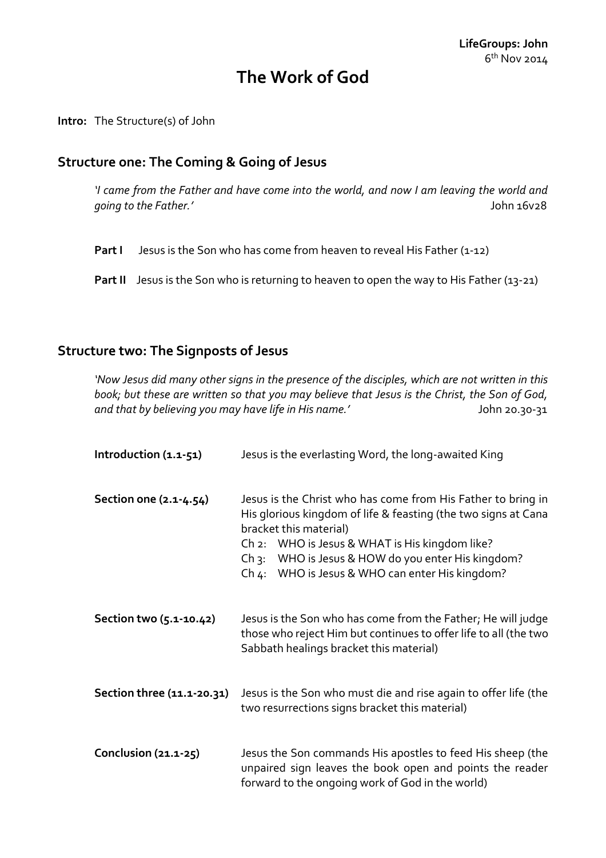# **The Work of God**

**Intro:** The Structure(s) of John

#### **Structure one: The Coming & Going of Jesus**

*'I came from the Father and have come into the world, and now I am leaving the world and going to the Father.'* John 16v28

**Part I** Jesus is the Son who has come from heaven to reveal His Father (1-12)

**Part II** Jesus is the Son who is returning to heaven to open the way to His Father (13-21)

#### **Structure two: The Signposts of Jesus**

*'Now Jesus did many other signs in the presence of the disciples, which are not written in this book; but these are written so that you may believe that Jesus is the Christ, the Son of God,*  and that by believing you may have life in His name.' John 20.30-31

| Introduction (1.1-51)      | Jesus is the everlasting Word, the long-awaited King                                                                                                                                                                                                                                                                              |
|----------------------------|-----------------------------------------------------------------------------------------------------------------------------------------------------------------------------------------------------------------------------------------------------------------------------------------------------------------------------------|
| Section one (2.1-4.54)     | Jesus is the Christ who has come from His Father to bring in<br>His glorious kingdom of life & feasting (the two signs at Cana<br>bracket this material)<br>WHO is Jesus & WHAT is His kingdom like?<br>Ch2:<br>WHO is Jesus & HOW do you enter His kingdom?<br>$Ch_3$ :<br>WHO is Jesus & WHO can enter His kingdom?<br>$Ch_4$ : |
| Section two (5.1-10.42)    | Jesus is the Son who has come from the Father; He will judge<br>those who reject Him but continues to offer life to all (the two<br>Sabbath healings bracket this material)                                                                                                                                                       |
| Section three (11.1-20.31) | Jesus is the Son who must die and rise again to offer life (the<br>two resurrections signs bracket this material)                                                                                                                                                                                                                 |
| Conclusion (21.1-25)       | Jesus the Son commands His apostles to feed His sheep (the<br>unpaired sign leaves the book open and points the reader<br>forward to the ongoing work of God in the world)                                                                                                                                                        |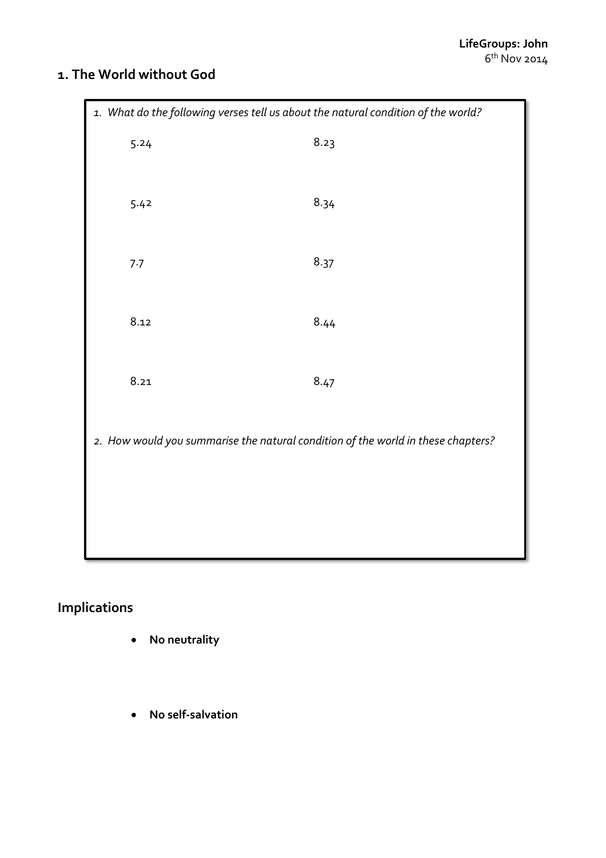## **1. The World without God**

| 1. What do the following verses tell us about the natural condition of the world? |      |      |  |
|-----------------------------------------------------------------------------------|------|------|--|
|                                                                                   | 5.24 | 8.23 |  |
|                                                                                   | 5.42 | 8.34 |  |
|                                                                                   | 7.7  | 8.37 |  |
|                                                                                   | 8.12 | 8.44 |  |
|                                                                                   | 8.21 | 8.47 |  |
| 2. How would you summarise the natural condition of the world in these chapters?  |      |      |  |
|                                                                                   |      |      |  |
|                                                                                   |      |      |  |

# **Implications**

- **No neutrality**
- **No self-salvation**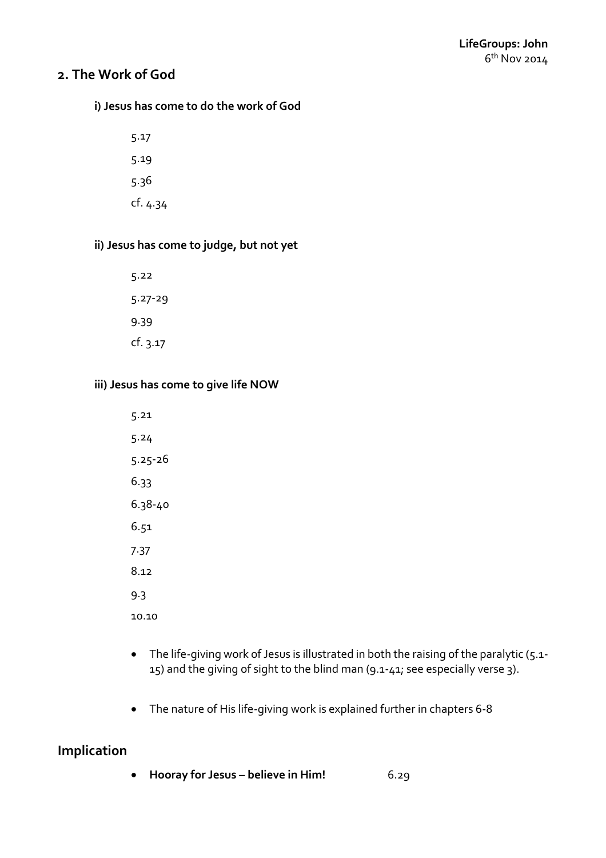## **2. The Work of God**

#### **i) Jesus has come to do the work of God**

5.17 5.19 5.36 cf. 4.34

### **ii) Jesus has come to judge, but not yet**

5.22 5.27-29 9.39 cf. 3.17

#### **iii) Jesus has come to give life NOW**

5.21 5.24 5.25-26 6.33 6.38-40 6.51 7.37 8.12 9.3 10.10

- The life-giving work of Jesus is illustrated in both the raising of the paralytic (5.1-15) and the giving of sight to the blind man (9.1-41; see especially verse 3).
- The nature of His life-giving work is explained further in chapters 6-8

## **Implication**

**Hooray for Jesus – believe in Him!** 6.29